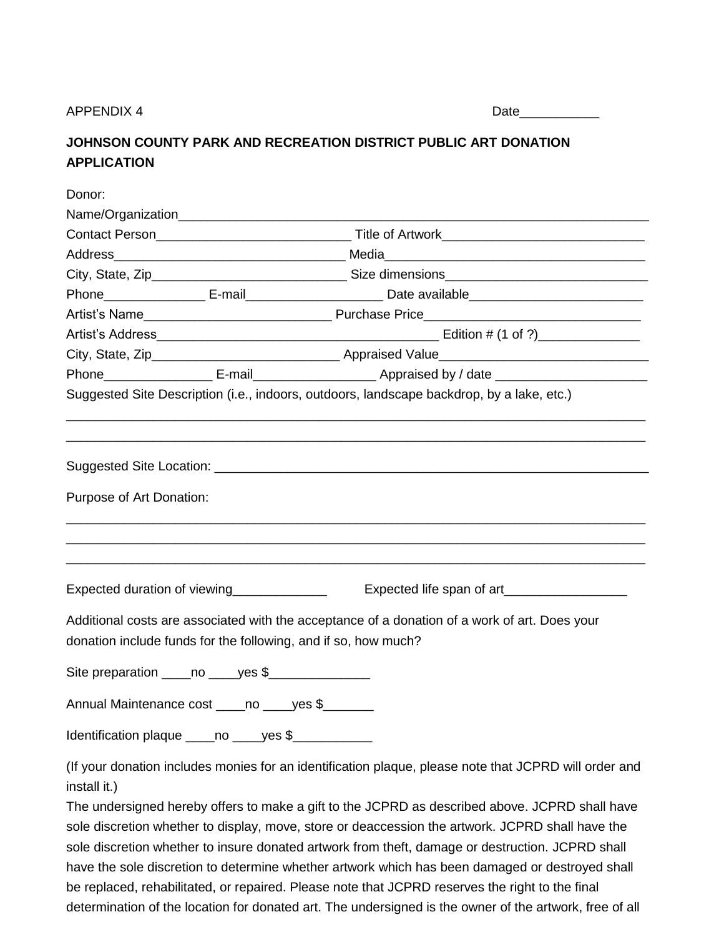## APPENDIX 4

| w |  |  |
|---|--|--|
|   |  |  |

## **JOHNSON COUNTY PARK AND RECREATION DISTRICT PUBLIC ART DONATION APPLICATION**

| Donor:                   |                                                                                                                                                                                                                                                                                                        |  |  |  |
|--------------------------|--------------------------------------------------------------------------------------------------------------------------------------------------------------------------------------------------------------------------------------------------------------------------------------------------------|--|--|--|
|                          |                                                                                                                                                                                                                                                                                                        |  |  |  |
|                          |                                                                                                                                                                                                                                                                                                        |  |  |  |
|                          |                                                                                                                                                                                                                                                                                                        |  |  |  |
|                          |                                                                                                                                                                                                                                                                                                        |  |  |  |
|                          | Phone______________________ E-mail_____________________________Date available_________________________________                                                                                                                                                                                         |  |  |  |
|                          |                                                                                                                                                                                                                                                                                                        |  |  |  |
|                          |                                                                                                                                                                                                                                                                                                        |  |  |  |
|                          |                                                                                                                                                                                                                                                                                                        |  |  |  |
|                          | Phone______________________E-mail_____________________________Appraised by / date ___________________________                                                                                                                                                                                          |  |  |  |
|                          | Suggested Site Description (i.e., indoors, outdoors, landscape backdrop, by a lake, etc.)                                                                                                                                                                                                              |  |  |  |
| Purpose of Art Donation: |                                                                                                                                                                                                                                                                                                        |  |  |  |
|                          | Expected duration of viewing                                                                                                                                                                                                                                                                           |  |  |  |
|                          | Additional costs are associated with the acceptance of a donation of a work of art. Does your<br>donation include funds for the following, and if so, how much?                                                                                                                                        |  |  |  |
|                          | Site preparation _____ no _____ yes \$_________________                                                                                                                                                                                                                                                |  |  |  |
|                          | Annual Maintenance cost _____ no _____ yes \$                                                                                                                                                                                                                                                          |  |  |  |
|                          | Identification plaque _____ no _____ yes \$_____________                                                                                                                                                                                                                                               |  |  |  |
| install it.)             | (If your donation includes monies for an identification plaque, please note that JCPRD will order and                                                                                                                                                                                                  |  |  |  |
|                          | The undersigned hereby offers to make a gift to the JCPRD as described above. JCPRD shall have<br>sole discretion whether to display, move, store or deaccession the artwork. JCPRD shall have the<br>sole discretion whether to insure donated artwork from theft, damage or destruction. JCPRD shall |  |  |  |

be replaced, rehabilitated, or repaired. Please note that JCPRD reserves the right to the final determination of the location for donated art. The undersigned is the owner of the artwork, free of all

have the sole discretion to determine whether artwork which has been damaged or destroyed shall